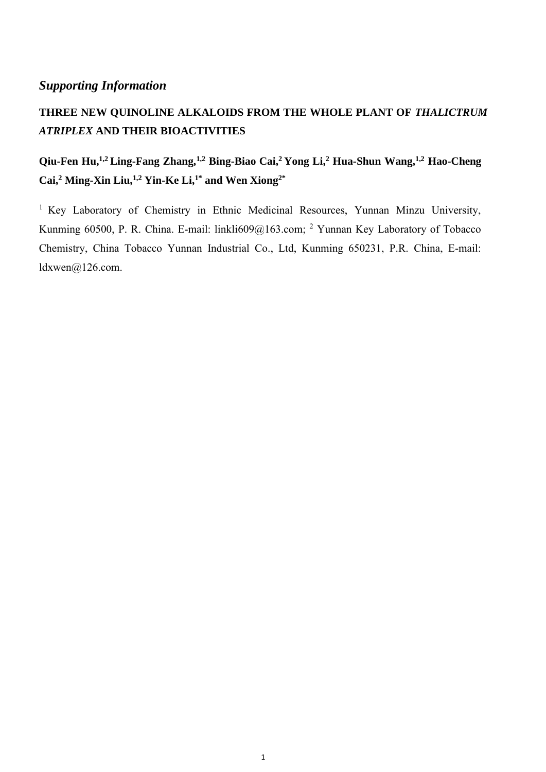#### *Supporting Information*

## THREE NEW QUINOLINE ALKALOIDS FROM THE WHOLE PLANT OF THALICTRUM *ATRIPLEX* **AND THEIR BIOACTIVITIES**

## **Qiu-Fen Hu,1,2 Ling-Fang Zhang,1,2 Bing-Biao Cai,<sup>2</sup> Yong Li, <sup>2</sup> Hua-Shun Wang,1,2 Hao-Cheng Cai, <sup>2</sup> Ming-Xin Liu,1,2 Yin-Ke Li, 1\* and Wen Xiong2\***

<sup>1</sup> Key Laboratory of Chemistry in Ethnic Medicinal Resources, Yunnan Minzu University, Kunming 60500, P. R. China. E-mail: linkli609@163.com; <sup>2</sup> Yunnan Key Laboratory of Tobacco Chemistry, China Tobacco Yunnan Industrial Co., Ltd, Kunming 650231, P.R. China, E-mail: ldxwen@126.com.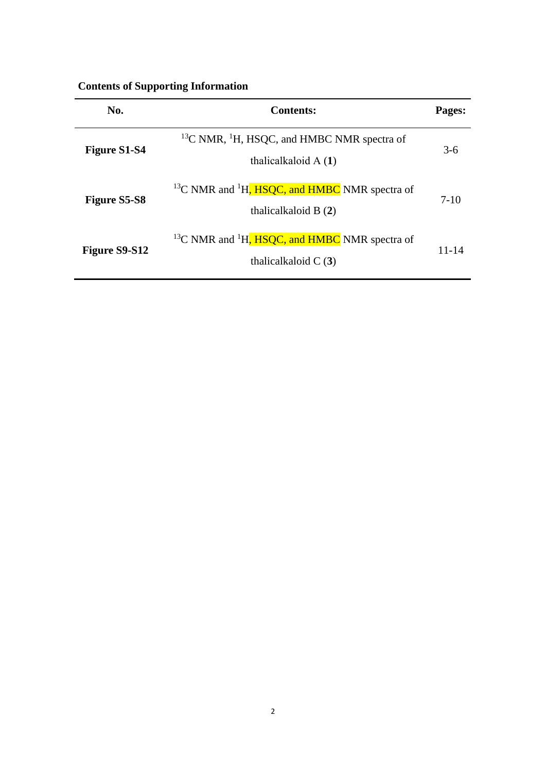| No.                 | <b>Contents:</b>                                                                    | Pages:    |
|---------------------|-------------------------------------------------------------------------------------|-----------|
| <b>Figure S1-S4</b> | $^{13}$ C NMR, $^{1}$ H, HSQC, and HMBC NMR spectra of<br>thalical kaloid $A(1)$    | $3-6$     |
| <b>Figure S5-S8</b> | $^{13}$ C NMR and $^{1}$ H, HSQC, and HMBC NMR spectra of<br>thalical kaloid $B(2)$ | $7-10$    |
| Figure S9-S12       | $^{13}$ C NMR and $^{1}$ H, HSQC, and HMBC NMR spectra of<br>thalical kaloid $C(3)$ | $11 - 14$ |

#### **Contents of Supporting Information**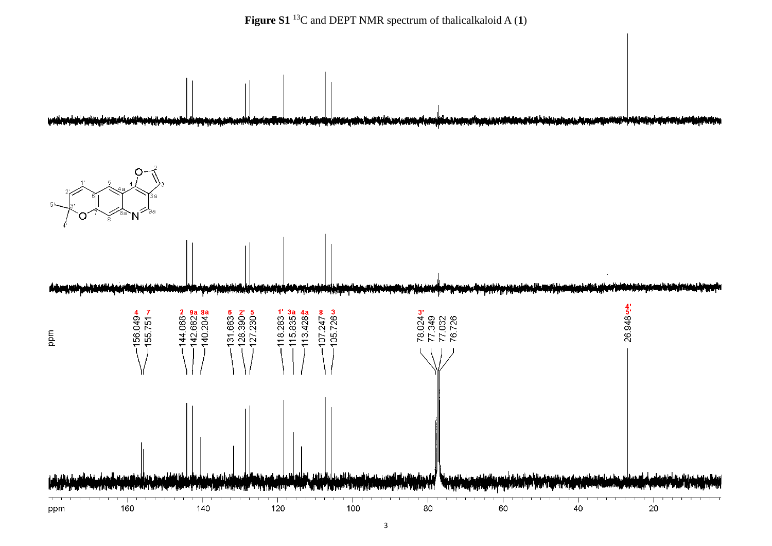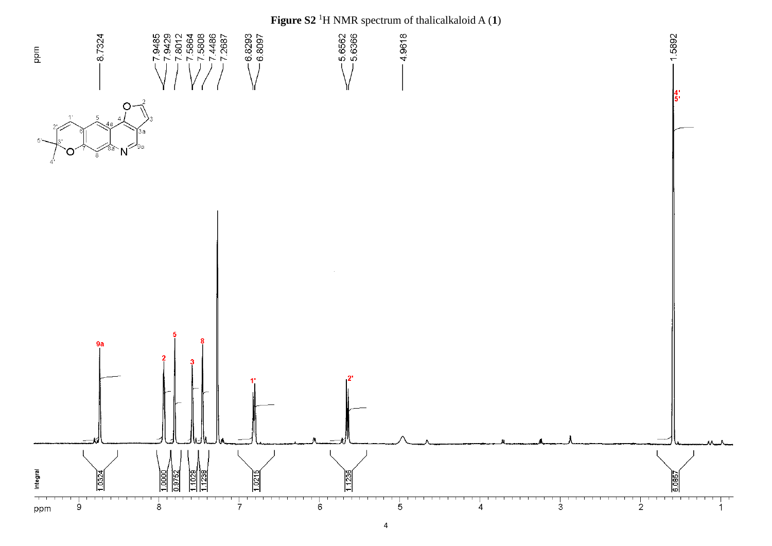# **Figure S2** <sup>1</sup>H NMR spectrum of thalicalkaloid A (**1**)

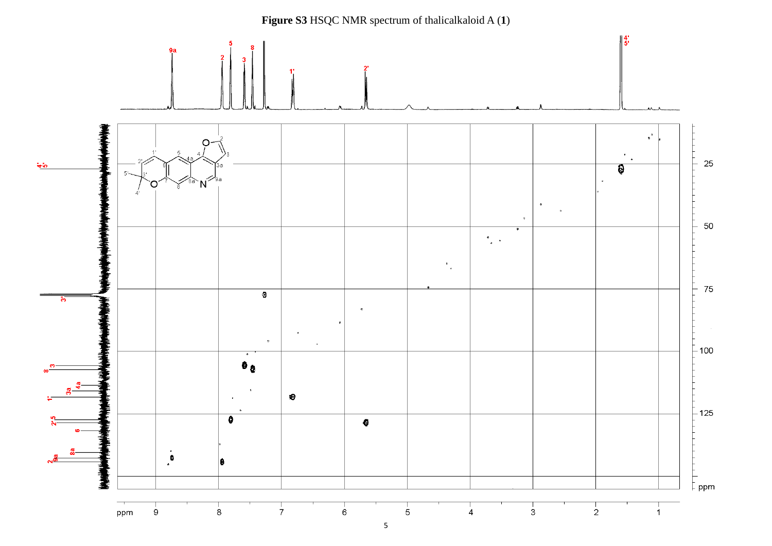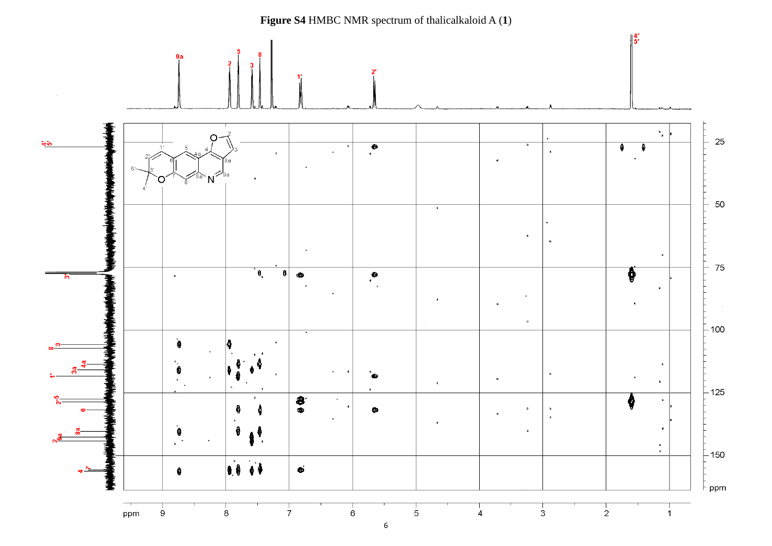**Figure S4** HMBC NMR spectrum of thalicalkaloid A (**1**) $\parallel^4$ :  $9a$  $\bullet$  $\mathbf{u}_\mathbf{0}$ റ 25  $\frac{1}{2}$  $\overline{\cdot}$  $\overline{a}$  $\bullet$  $\overline{\bullet}$  $\ddot{\phantom{a}}$  $\overline{a}$  $\overline{a}$  $\mathbf{N}^2$ റ **The South Advised Age of Action** 50  $\overline{\cdot}$  $\bullet$  $\bullet$ 75 L. ° 0,  $\mathbf{0}$ ₿  $\bullet$  $\bullet$  $\mathbf{a}$  $\ddot{\phantom{0}}$  $\epsilon$  $\blacksquare$ ×  $\alpha$  $-100$ ۵,  $\bullet$  $\bullet$  $\pmb{\mathsf{n}}$  $\bullet$  $-125$  $\bullet \bullet$ Ô  $_{\rm p}$ ₿  $\bullet$  $\alpha$  $\bullet$  $\epsilon$ € ġ  $\lambda$  $\mathcal{L}(\mathcal{F})$  $\begin{array}{c} \mathbf{B} \\ \mathbf{D} \end{array}$  $-150$ 18 01  $\hat{\mathbf{e}}$  $\pmb{\theta}$ ppm  $\frac{1}{2}$ ppm  $\mathbf{9}$  $\overline{8}$  $\overline{7}$  $6^{\circ}$  $\overline{5}$  $\ddot{4}$  $\overline{3}$  $\overline{1}$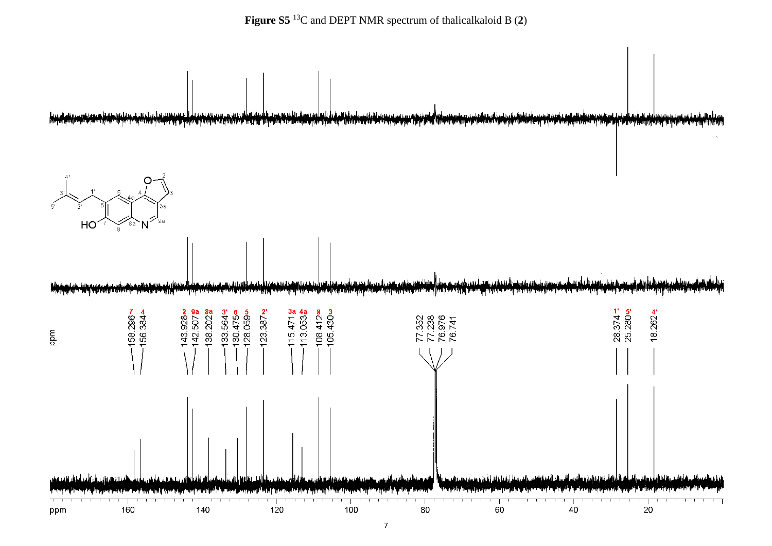

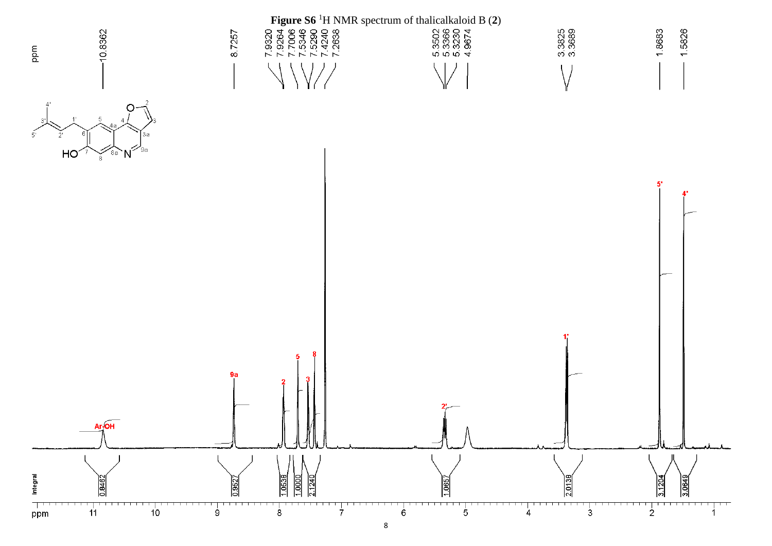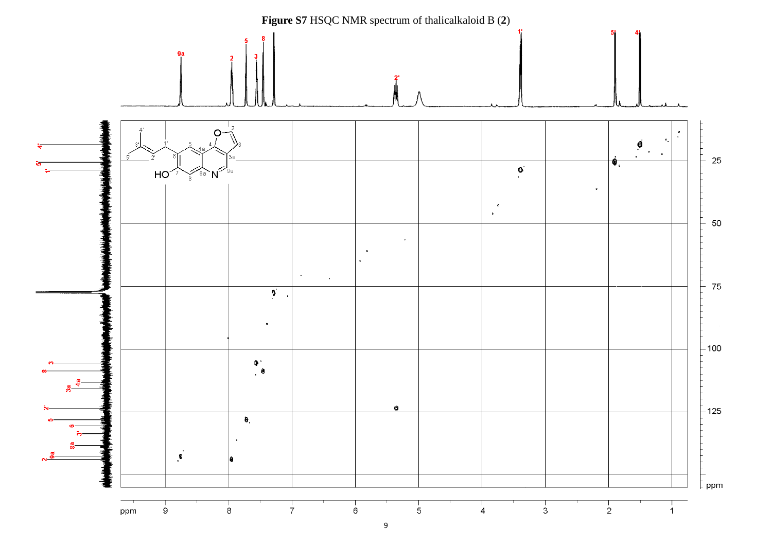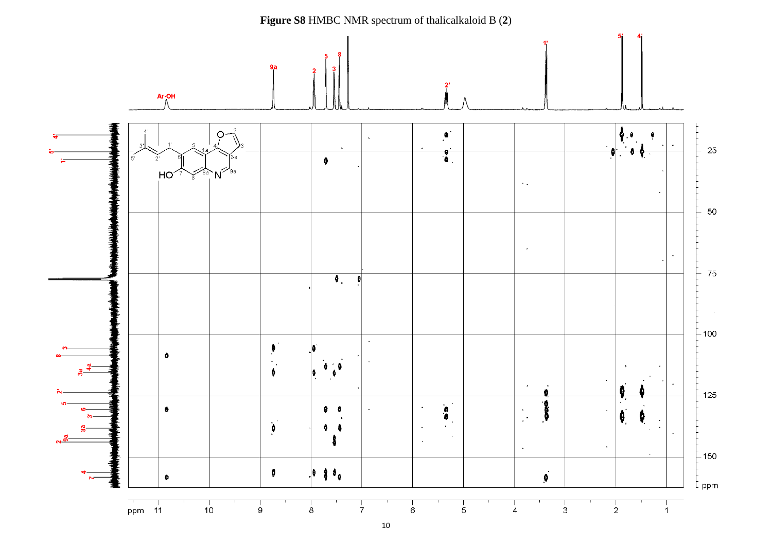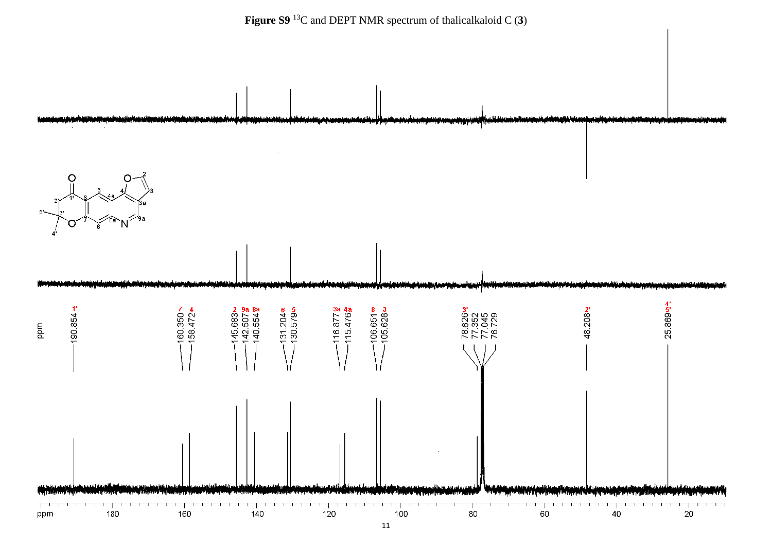

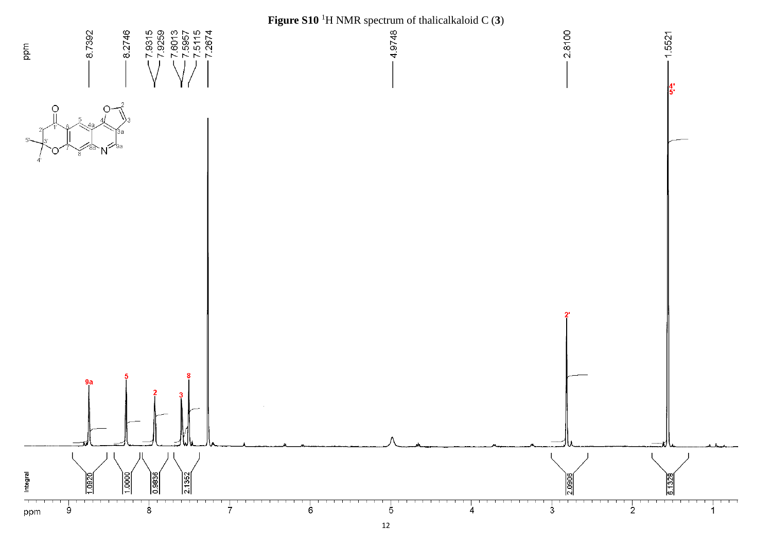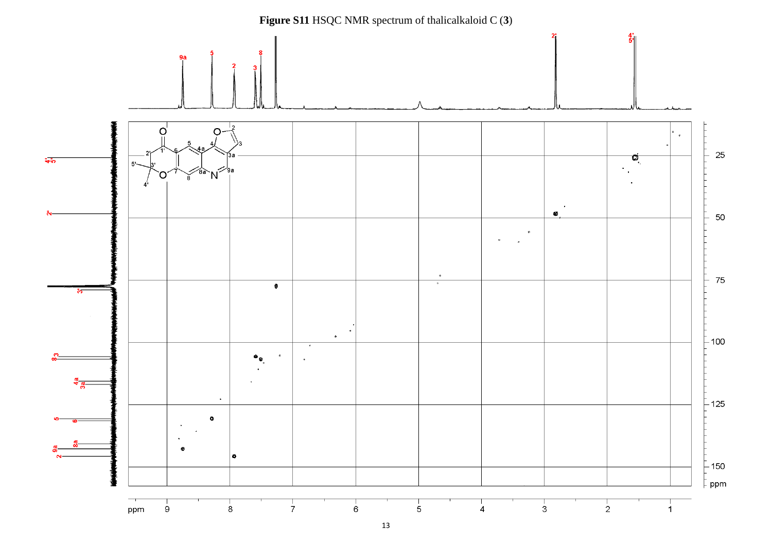